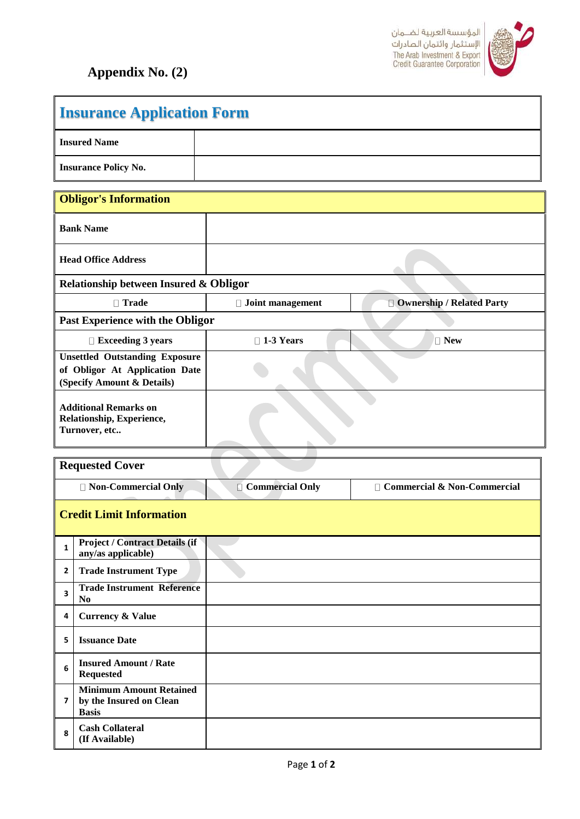

 $\mathsf{l}$ 

## **Appendix No. (2)**

**Insurance Application Form**

| <b>Insured Name</b>                                                                                   |                         |                               |  |  |
|-------------------------------------------------------------------------------------------------------|-------------------------|-------------------------------|--|--|
| <b>Insurance Policy No.</b>                                                                           |                         |                               |  |  |
| <b>Obligor's Information</b>                                                                          |                         |                               |  |  |
| <b>Bank Name</b>                                                                                      |                         |                               |  |  |
| <b>Head Office Address</b>                                                                            |                         |                               |  |  |
| Relationship between Insured & Obligor                                                                |                         |                               |  |  |
| □ Trade                                                                                               | $\Box$ Joint management | Ownership / Related Party     |  |  |
| Past Experience with the Obligor                                                                      |                         |                               |  |  |
| $\Box$ Exceeding 3 years                                                                              | $\Box$ 1-3 Years        | $\Box$ New                    |  |  |
| <b>Unsettled Outstanding Exposure</b><br>of Obligor At Application Date<br>(Specify Amount & Details) |                         |                               |  |  |
| <b>Additional Remarks on</b><br>Relationship, Experience,<br>Turnover, etc                            |                         |                               |  |  |
|                                                                                                       |                         |                               |  |  |
| <b>Requested Cover</b>                                                                                |                         |                               |  |  |
| □ Non-Commercial Only                                                                                 | Commercial Only         | □ Commercial & Non-Commercial |  |  |
| <b>Credit Limit Information</b>                                                                       |                         |                               |  |  |
| <b>Project / Contract Details (if</b><br>$\mathbf{1}$<br>any/as applicable)                           |                         |                               |  |  |
| <b>Trade Instrument Type</b><br>2                                                                     |                         |                               |  |  |
| <b>Trade Instrument Reference</b><br>$\overline{\mathbf{3}}$<br>N <sub>0</sub>                        |                         |                               |  |  |
| <b>Currency &amp; Value</b><br>4                                                                      |                         |                               |  |  |
| <b>Issuance Date</b><br>5                                                                             |                         |                               |  |  |
| <b>Insured Amount / Rate</b><br>6<br><b>Requested</b>                                                 |                         |                               |  |  |
| <b>Minimum Amount Retained</b><br>by the Insured on Clean<br>$\overline{ }$                           |                         |                               |  |  |
| <b>Basis</b>                                                                                          |                         |                               |  |  |